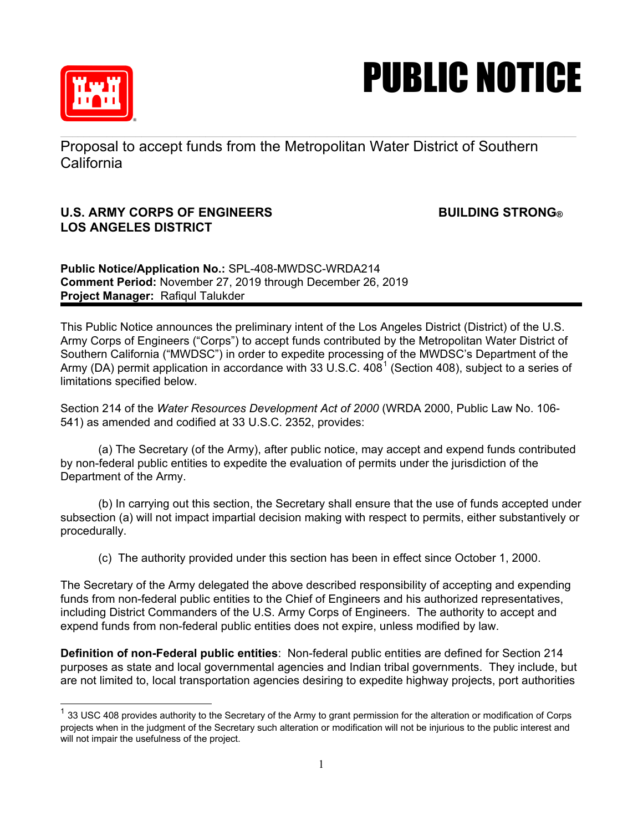

## PUBLIC NOTICE

Proposal to accept funds from the Metropolitan Water District of Southern California

## **U.S. ARMY CORPS OF ENGINEERS BUILDING STRONG® LOS ANGELES DISTRICT**

**Public Notice/Application No.:** SPL-408-MWDSC-WRDA214 **Comment Period:** November 27, 2019 through December 26, 2019 **Project Manager:** Rafiqul Talukder

This Public Notice announces the preliminary intent of the Los Angeles District (District) of the U.S. Army Corps of Engineers ("Corps") to accept funds contributed by the Metropolitan Water District of Southern California ("MWDSC") in order to expedite processing of the MWDSC's Department of the Army (DA) permit application in accordance with 33 U.S.C.  $408^1$  $408^1$  (Section 408), subject to a series of limitations specified below.

Section 214 of the *Water Resources Development Act of 2000* (WRDA 2000, Public Law No. 106- 541) as amended and codified at 33 U.S.C. 2352, provides:

(a) The Secretary (of the Army), after public notice, may accept and expend funds contributed by non-federal public entities to expedite the evaluation of permits under the jurisdiction of the Department of the Army.

(b) In carrying out this section, the Secretary shall ensure that the use of funds accepted under subsection (a) will not impact impartial decision making with respect to permits, either substantively or procedurally.

(c) The authority provided under this section has been in effect since October 1, 2000.

The Secretary of the Army delegated the above described responsibility of accepting and expending funds from non-federal public entities to the Chief of Engineers and his authorized representatives, including District Commanders of the U.S. Army Corps of Engineers. The authority to accept and expend funds from non-federal public entities does not expire, unless modified by law.

**Definition of non-Federal public entities**: Non-federal public entities are defined for Section 214 purposes as state and local governmental agencies and Indian tribal governments. They include, but are not limited to, local transportation agencies desiring to expedite highway projects, port authorities

<span id="page-0-0"></span> $\frac{1}{1}$  33 USC 408 provides authority to the Secretary of the Army to grant permission for the alteration or modification of Corps. projects when in the judgment of the Secretary such alteration or modification will not be injurious to the public interest and will not impair the usefulness of the project.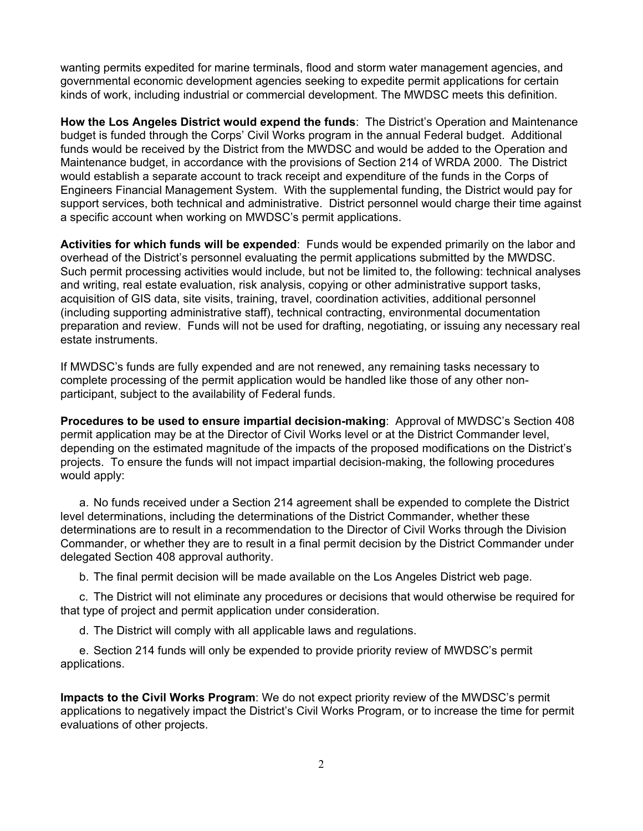wanting permits expedited for marine terminals, flood and storm water management agencies, and governmental economic development agencies seeking to expedite permit applications for certain kinds of work, including industrial or commercial development. The MWDSC meets this definition.

**How the Los Angeles District would expend the funds**: The District's Operation and Maintenance budget is funded through the Corps' Civil Works program in the annual Federal budget. Additional funds would be received by the District from the MWDSC and would be added to the Operation and Maintenance budget, in accordance with the provisions of Section 214 of WRDA 2000. The District would establish a separate account to track receipt and expenditure of the funds in the Corps of Engineers Financial Management System. With the supplemental funding, the District would pay for support services, both technical and administrative. District personnel would charge their time against a specific account when working on MWDSC's permit applications.

**Activities for which funds will be expended**: Funds would be expended primarily on the labor and overhead of the District's personnel evaluating the permit applications submitted by the MWDSC. Such permit processing activities would include, but not be limited to, the following: technical analyses and writing, real estate evaluation, risk analysis, copying or other administrative support tasks, acquisition of GIS data, site visits, training, travel, coordination activities, additional personnel (including supporting administrative staff), technical contracting, environmental documentation preparation and review. Funds will not be used for drafting, negotiating, or issuing any necessary real estate instruments.

If MWDSC's funds are fully expended and are not renewed, any remaining tasks necessary to complete processing of the permit application would be handled like those of any other nonparticipant, subject to the availability of Federal funds.

**Procedures to be used to ensure impartial decision-making**: Approval of MWDSC's Section 408 permit application may be at the Director of Civil Works level or at the District Commander level, depending on the estimated magnitude of the impacts of the proposed modifications on the District's projects. To ensure the funds will not impact impartial decision-making, the following procedures would apply:

a. No funds received under a Section 214 agreement shall be expended to complete the District level determinations, including the determinations of the District Commander, whether these determinations are to result in a recommendation to the Director of Civil Works through the Division Commander, or whether they are to result in a final permit decision by the District Commander under delegated Section 408 approval authority.

b. The final permit decision will be made available on the Los Angeles District web page.

c. The District will not eliminate any procedures or decisions that would otherwise be required for that type of project and permit application under consideration.

d. The District will comply with all applicable laws and regulations.

e. Section 214 funds will only be expended to provide priority review of MWDSC's permit applications.

**Impacts to the Civil Works Program**: We do not expect priority review of the MWDSC's permit applications to negatively impact the District's Civil Works Program, or to increase the time for permit evaluations of other projects.